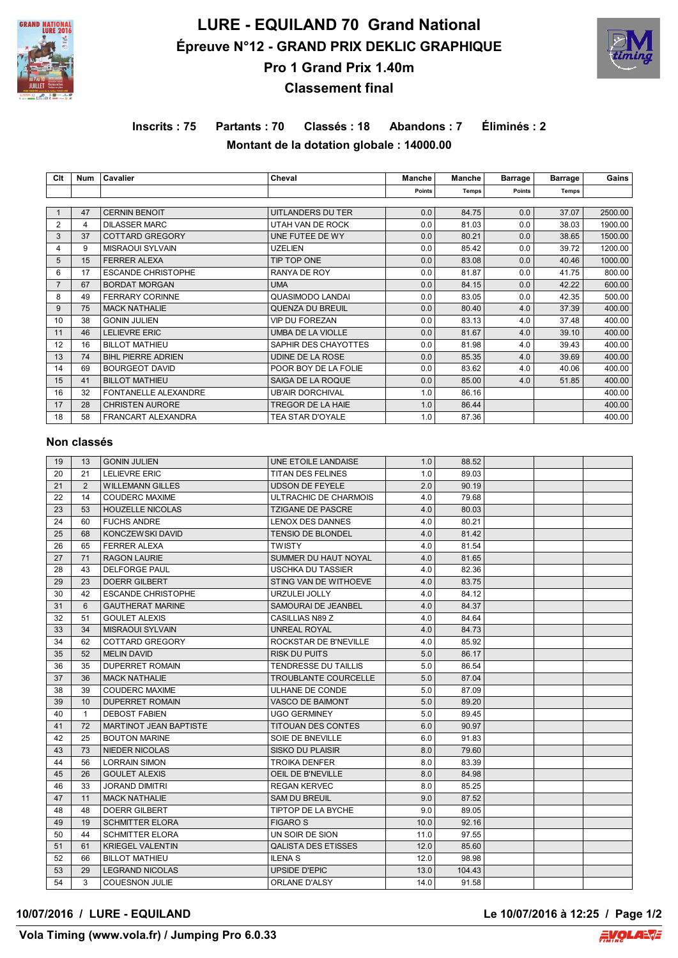

# **LURE - EQUILAND 70 Grand National Épreuve N°12 - GRAND PRIX DEKLIC GRAPHIQUE Pro 1 Grand Prix 1.40m**



# **Classement final**

# **Inscrits : 75 Partants : 70 Classés : 18 Abandons : 7 Éliminés : 2 Montant de la dotation globale : 14000.00**

| Clt            | Num | Cavalier                    | Cheval                   | Manche        | Manche | <b>Barrage</b> | <b>Barrage</b> | Gains   |
|----------------|-----|-----------------------------|--------------------------|---------------|--------|----------------|----------------|---------|
|                |     |                             |                          | <b>Points</b> | Temps  | Points         | <b>Temps</b>   |         |
|                |     |                             |                          |               |        |                |                |         |
|                | 47  | <b>CERNIN BENOIT</b>        | UITLANDERS DU TER        | 0.0           | 84.75  | 0.0            | 37.07          | 2500.00 |
| 2              | 4   | <b>DILASSER MARC</b>        | UTAH VAN DE ROCK         | 0.0           | 81.03  | 0.0            | 38.03          | 1900.00 |
| 3              | 37  | <b>COTTARD GREGORY</b>      | UNE FUTEE DE WY          | 0.0           | 80.21  | 0.0            | 38.65          | 1500.00 |
| 4              | 9   | <b>MISRAOUI SYLVAIN</b>     | <b>UZELIEN</b>           | 0.0           | 85.42  | 0.0            | 39.72          | 1200.00 |
| 5              | 15  | <b>FERRER ALEXA</b>         | TIP TOP ONE              | 0.0           | 83.08  | 0.0            | 40.46          | 1000.00 |
| 6              | 17  | <b>ESCANDE CHRISTOPHE</b>   | RANYA DE ROY             | 0.0           | 81.87  | 0.0            | 41.75          | 800.00  |
| $\overline{7}$ | 67  | <b>BORDAT MORGAN</b>        | <b>UMA</b>               | 0.0           | 84.15  | 0.0            | 42.22          | 600.00  |
| 8              | 49  | <b>FERRARY CORINNE</b>      | <b>QUASIMODO LANDAI</b>  | 0.0           | 83.05  | 0.0            | 42.35          | 500.00  |
| 9              | 75  | <b>MACK NATHALIE</b>        | QUENZA DU BREUIL         | 0.0           | 80.40  | 4.0            | 37.39          | 400.00  |
| 10             | 38  | <b>GONIN JULIEN</b>         | <b>VIP DU FOREZAN</b>    | 0.0           | 83.13  | 4.0            | 37.48          | 400.00  |
| 11             | 46  | <b>LELIEVRE ERIC</b>        | <b>UMBA DE LA VIOLLE</b> | 0.0           | 81.67  | 4.0            | 39.10          | 400.00  |
| 12             | 16  | <b>BILLOT MATHIEU</b>       | SAPHIR DES CHAYOTTES     | 0.0           | 81.98  | 4.0            | 39.43          | 400.00  |
| 13             | 74  | <b>BIHL PIERRE ADRIEN</b>   | UDINE DE LA ROSE         | 0.0           | 85.35  | 4.0            | 39.69          | 400.00  |
| 14             | 69  | <b>BOURGEOT DAVID</b>       | POOR BOY DE LA FOLIE     | 0.0           | 83.62  | 4.0            | 40.06          | 400.00  |
| 15             | 41  | <b>BILLOT MATHIEU</b>       | SAIGA DE LA ROQUE        | 0.0           | 85.00  | 4.0            | 51.85          | 400.00  |
| 16             | 32  | <b>FONTANELLE ALEXANDRE</b> | <b>UB'AIR DORCHIVAL</b>  | 1.0           | 86.16  |                |                | 400.00  |
| 17             | 28  | <b>CHRISTEN AURORE</b>      | TREGOR DE LA HAIE        | 1.0           | 86.44  |                |                | 400.00  |
| 18             | 58  | FRANCART ALEXANDRA          | TEA STAR D'OYALE         | 1.0           | 87.36  |                |                | 400.00  |

## **Non classés**

| 19 | 13           | <b>GONIN JULIEN</b>           | UNE ETOILE LANDAISE         | 1.0  | 88.52  |  |  |
|----|--------------|-------------------------------|-----------------------------|------|--------|--|--|
| 20 | 21           | <b>LELIEVRE ERIC</b>          | TITAN DES FELINES           | 1.0  | 89.03  |  |  |
| 21 | 2            | <b>WILLEMANN GILLES</b>       | <b>UDSON DE FEYELE</b>      | 2.0  | 90.19  |  |  |
| 22 | 14           | <b>COUDERC MAXIME</b>         | ULTRACHIC DE CHARMOIS       | 4.0  | 79.68  |  |  |
| 23 | 53           | <b>HOUZELLE NICOLAS</b>       | <b>TZIGANE DE PASCRE</b>    | 4.0  | 80.03  |  |  |
| 24 | 60           | <b>FUCHS ANDRE</b>            | LENOX DES DANNES            | 4.0  | 80.21  |  |  |
| 25 | 68           | KONCZEWSKI DAVID              | <b>TENSIO DE BLONDEL</b>    | 4.0  | 81.42  |  |  |
| 26 | 65           | <b>FERRER ALEXA</b>           | TWISTY                      | 4.0  | 81.54  |  |  |
| 27 | 71           | <b>RAGON LAURIE</b>           | SUMMER DU HAUT NOYAL        | 4.0  | 81.65  |  |  |
| 28 | 43           | <b>DELFORGE PAUL</b>          | USCHKA DU TASSIER           | 4.0  | 82.36  |  |  |
| 29 | 23           | <b>DOERR GILBERT</b>          | STING VAN DE WITHOEVE       | 4.0  | 83.75  |  |  |
| 30 | 42           | <b>ESCANDE CHRISTOPHE</b>     | URZULEI JOLLY               | 4.0  | 84.12  |  |  |
| 31 | 6            | <b>GAUTHERAT MARINE</b>       | SAMOURAI DE JEANBEL         | 4.0  | 84.37  |  |  |
| 32 | 51           | <b>GOULET ALEXIS</b>          | CASILLIAS N89 Z             | 4.0  | 84.64  |  |  |
| 33 | 34           | <b>MISRAOUI SYLVAIN</b>       | <b>UNREAL ROYAL</b>         | 4.0  | 84.73  |  |  |
| 34 | 62           | <b>COTTARD GREGORY</b>        | ROCKSTAR DE B'NEVILLE       | 4.0  | 85.92  |  |  |
| 35 | 52           | <b>MELIN DAVID</b>            | RISK DU PUITS               | 5.0  | 86.17  |  |  |
| 36 | 35           | <b>DUPERRET ROMAIN</b>        | <b>TENDRESSE DU TAILLIS</b> | 5.0  | 86.54  |  |  |
| 37 | 36           | <b>MACK NATHALIE</b>          | <b>TROUBLANTE COURCELLE</b> | 5.0  | 87.04  |  |  |
| 38 | 39           | <b>COUDERC MAXIME</b>         | ULHANE DE CONDE             | 5.0  | 87.09  |  |  |
| 39 | 10           | <b>DUPERRET ROMAIN</b>        | <b>VASCO DE BAIMONT</b>     | 5.0  | 89.20  |  |  |
| 40 | $\mathbf{1}$ | <b>DEBOST FABIEN</b>          | <b>UGO GERMINEY</b>         | 5.0  | 89.45  |  |  |
| 41 | 72           | <b>MARTINOT JEAN BAPTISTE</b> | TITOUAN DES CONTES          | 6.0  | 90.97  |  |  |
| 42 | 25           | <b>BOUTON MARINE</b>          | SOIE DE BNEVILLE            | 6.0  | 91.83  |  |  |
| 43 | 73           | <b>NIEDER NICOLAS</b>         | SISKO DU PLAISIR            | 8.0  | 79.60  |  |  |
| 44 | 56           | <b>LORRAIN SIMON</b>          | <b>TROIKA DENFER</b>        | 8.0  | 83.39  |  |  |
| 45 | 26           | <b>GOULET ALEXIS</b>          | OEIL DE B'NEVILLE           | 8.0  | 84.98  |  |  |
| 46 | 33           | <b>JORAND DIMITRI</b>         | <b>REGAN KERVEC</b>         | 8.0  | 85.25  |  |  |
| 47 | 11           | <b>MACK NATHALIE</b>          | <b>SAM DU BREUIL</b>        | 9.0  | 87.52  |  |  |
| 48 | 48           | <b>DOERR GILBERT</b>          | <b>TIPTOP DE LA BYCHE</b>   | 9.0  | 89.05  |  |  |
| 49 | 19           | <b>SCHMITTER ELORA</b>        | <b>FIGARO S</b>             | 10.0 | 92.16  |  |  |
| 50 | 44           | <b>SCHMITTER ELORA</b>        | UN SOIR DE SION             | 11.0 | 97.55  |  |  |
| 51 | 61           | <b>KRIEGEL VALENTIN</b>       | <b>QALISTA DES ETISSES</b>  | 12.0 | 85.60  |  |  |
| 52 | 66           | <b>BILLOT MATHIEU</b>         | <b>ILENA S</b>              | 12.0 | 98.98  |  |  |
| 53 | 29           | <b>LEGRAND NICOLAS</b>        | <b>UPSIDE D'EPIC</b>        | 13.0 | 104.43 |  |  |
| 54 | 3            | <b>COUESNON JULIE</b>         | <b>ORLANE D'ALSY</b>        | 14.0 | 91.58  |  |  |

### **10/07/2016 / LURE - EQUILAND Le 10/07/2016 à 12:25 / Page 1/2**